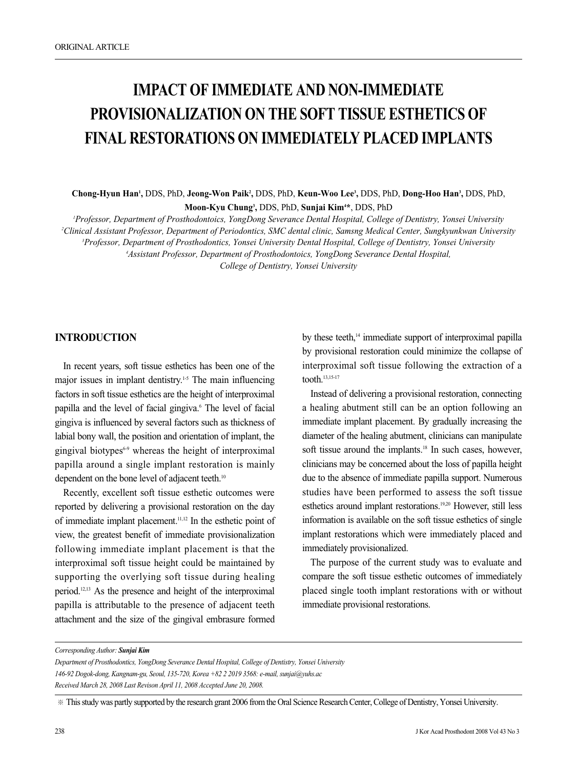# **IMPACT OF IMMEDIATE AND NON-IMMEDIATE PROVISIONALIZATION ON THE SOFT TISSUE ESTHETICS OF FINAL RESTORATIONS ON IMMEDIATELY PLACED IMPLANTS**

**Chong-Hyun Han1 ,** DDS, PhD, **Jeong-Won Paik2 ,** DDS, PhD, **Keun-Woo Lee3 ,** DDS, PhD, **Dong-Hoo Han3 ,** DDS, PhD, **Moon-Kyu Chung3 ,** DDS, PhD, **Sunjai Kim4 \***, DDS, PhD

 *Professor, Department of Prosthodontoics, YongDong Severance Dental Hospital, College of Dentistry, Yonsei University Clinical Assistant Professor, Department of Periodontics, SMC dental clinic, Samsng Medical Center, Sungkyunkwan University Professor, Department of Prosthodontics, Yonsei University Dental Hospital, College of Dentistry, Yonsei University Assistant Professor, Department of Prosthodontoics, YongDong Severance Dental Hospital,* 

*College of Dentistry, Yonsei University*

#### **INTRODUCTION**

In recent years, soft tissue esthetics has been one of the major issues in implant dentistry.<sup>1-5</sup> The main influencing factors in soft tissue esthetics are the height of interproximal papilla and the level of facial gingiva.<sup>6</sup> The level of facial gingiva is influenced by several factors such as thickness of labial bony wall, the position and orientation of implant, the gingival biotypes $6-9$  whereas the height of interproximal papilla around a single implant restoration is mainly dependent on the bone level of adjacent teeth.<sup>10</sup>

Recently, excellent soft tissue esthetic outcomes were reported by delivering a provisional restoration on the day of immediate implant placement.11,12 In the esthetic point of view, the greatest benefit of immediate provisionalization following immediate implant placement is that the interproximal soft tissue height could be maintained by supporting the overlying soft tissue during healing period.12,13 As the presence and height of the interproximal papilla is attributable to the presence of adjacent teeth attachment and the size of the gingival embrasure formed by these teeth,<sup>14</sup> immediate support of interproximal papilla by provisional restoration could minimize the collapse of interproximal soft tissue following the extraction of a tooth.13,15-17

Instead of delivering a provisional restoration, connecting a healing abutment still can be an option following an immediate implant placement. By gradually increasing the diameter of the healing abutment, clinicians can manipulate soft tissue around the implants.<sup>18</sup> In such cases, however, clinicians may be concerned about the loss of papilla height due to the absence of immediate papilla support. Numerous studies have been performed to assess the soft tissue esthetics around implant restorations.19,20 However, still less information is available on the soft tissue esthetics of single implant restorations which were immediately placed and immediately provisionalized.

The purpose of the current study was to evaluate and compare the soft tissue esthetic outcomes of immediately placed single tooth implant restorations with or without immediate provisional restorations.

*Corresponding Author: Sunjai Kim*

*Department of Prosthodontics, YongDong Severance Dental Hospital, College of Dentistry, Yonsei University 146-92 Dogok-dong, Kangnam-gu, Seoul, 135-720, Korea +82 2 2019 3568: e-mail, sunjai@yuhs.ac Received March 28, 2008 Last Revison April 11, 2008 Accepted June 20, 2008.*

<sup>※</sup>This study was partly supported by the research grant 2006 from the Oral Science Research Center, College of Dentistry, Yonsei University.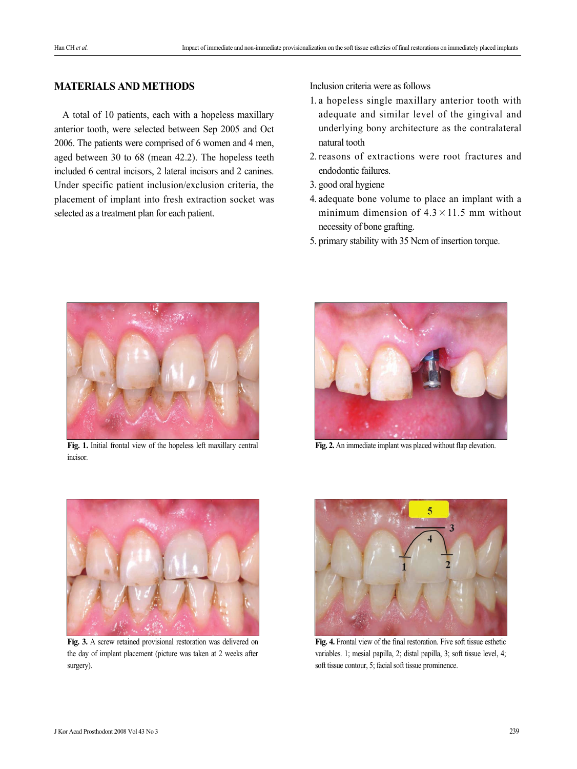# **MATERIALS AND METHODS**

A total of 10 patients, each with a hopeless maxillary anterior tooth, were selected between Sep 2005 and Oct 2006. The patients were comprised of 6 women and 4 men, aged between 30 to 68 (mean 42.2). The hopeless teeth included 6 central incisors, 2 lateral incisors and 2 canines. Under specific patient inclusion/exclusion criteria, the placement of implant into fresh extraction socket was selected as a treatment plan for each patient.

Inclusion criteria were as follows

- 1. a hopeless single maxillary anterior tooth with adequate and similar level of the gingival and underlying bony architecture as the contralateral natural tooth
- 2. reasons of extractions were root fractures and endodontic failures.
- 3. good oral hygiene
- 4. adequate bone volume to place an implant with a minimum dimension of  $4.3 \times 11.5$  mm without necessity of bone grafting.
- 5. primary stability with 35 Ncm of insertion torque.



**Fig. 1.** Initial frontal view of the hopeless left maxillary central incisor.



**Fig. 2.** An immediate implant was placed without flap elevation.



**Fig. 3.** A screw retained provisional restoration was delivered on the day of implant placement (picture was taken at 2 weeks after surgery).



**Fig. 4.** Frontal view of the final restoration. Five soft tissue esthetic variables. 1; mesial papilla, 2; distal papilla, 3; soft tissue level, 4; soft tissue contour, 5; facial soft tissue prominence.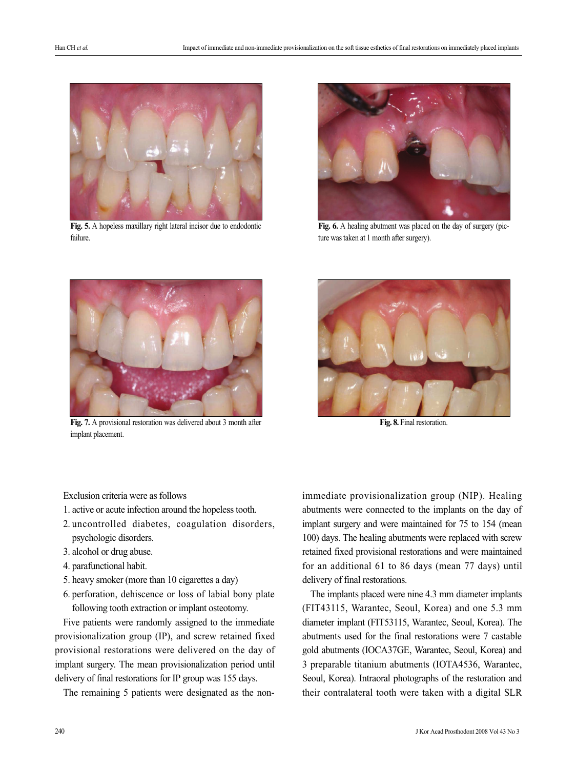

**Fig. 5.** A hopeless maxillary right lateral incisor due to endodontic failure.



**Fig. 6.** A healing abutment was placed on the day of surgery (picture was taken at 1 month after surgery).



**Fig. 7.** A provisional restoration was delivered about 3 month after implant placement.



Fig. 8. Final restoration.

Exclusion criteria were as follows

- 1. active or acute infection around the hopeless tooth.
- 2. uncontrolled diabetes, coagulation disorders, psychologic disorders.
- 3. alcohol or drug abuse.
- 4. parafunctional habit.
- 5. heavy smoker (more than 10 cigarettes a day)
- 6. perforation, dehiscence or loss of labial bony plate following tooth extraction or implant osteotomy.

Five patients were randomly assigned to the immediate provisionalization group (IP), and screw retained fixed provisional restorations were delivered on the day of implant surgery. The mean provisionalization period until delivery of final restorations for IP group was 155 days.

The remaining 5 patients were designated as the non-

immediate provisionalization group (NIP). Healing abutments were connected to the implants on the day of implant surgery and were maintained for 75 to 154 (mean 100) days. The healing abutments were replaced with screw retained fixed provisional restorations and were maintained for an additional 61 to 86 days (mean 77 days) until delivery of final restorations.

The implants placed were nine 4.3 mm diameter implants (FIT43115, Warantec, Seoul, Korea) and one 5.3 mm diameter implant (FIT53115, Warantec, Seoul, Korea). The abutments used for the final restorations were 7 castable gold abutments (IOCA37GE, Warantec, Seoul, Korea) and 3 preparable titanium abutments (IOTA4536, Warantec, Seoul, Korea). Intraoral photographs of the restoration and their contralateral tooth were taken with a digital SLR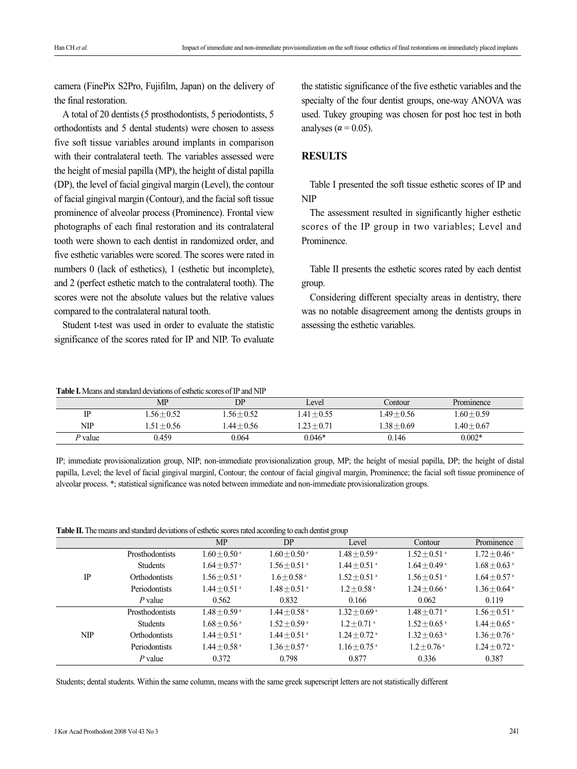camera (FinePix S2Pro, Fujifilm, Japan) on the delivery of the final restoration.

A total of 20 dentists (5 prosthodontists, 5 periodontists, 5 orthodontists and 5 dental students) were chosen to assess five soft tissue variables around implants in comparison with their contralateral teeth. The variables assessed were the height of mesial papilla (MP), the height of distal papilla (DP), the level of facial gingival margin (Level), the contour of facial gingival margin (Contour), and the facial soft tissue prominence of alveolar process (Prominence). Frontal view photographs of each final restoration and its contralateral tooth were shown to each dentist in randomized order, and five esthetic variables were scored. The scores were rated in numbers 0 (lack of esthetics), 1 (esthetic but incomplete), and 2 (perfect esthetic match to the contralateral tooth). The scores were not the absolute values but the relative values compared to the contralateral natural tooth.

Student t-test was used in order to evaluate the statistic significance of the scores rated for IP and NIP. To evaluate the statistic significance of the five esthetic variables and the specialty of the four dentist groups, one-way ANOVA was used. Tukey grouping was chosen for post hoc test in both analyses ( $\alpha$  = 0.05).

### **RESULTS**

Table I presented the soft tissue esthetic scores of IP and NIP

The assessment resulted in significantly higher esthetic scores of the IP group in two variables; Level and Prominence.

Table II presents the esthetic scores rated by each dentist group.

Considering different specialty areas in dentistry, there was no notable disagreement among the dentists groups in assessing the esthetic variables.

| <b>Table I.</b> Means and standard deviations of esthetic scores of IP and NIP |  |
|--------------------------------------------------------------------------------|--|
|--------------------------------------------------------------------------------|--|

|            | MP            | DP            | Level         | Contour       | Prominence    |  |
|------------|---------------|---------------|---------------|---------------|---------------|--|
|            | $1.56 + 0.52$ | $1.56 + 0.52$ | $1.41 + 0.55$ | $1.49 + 0.56$ | $1.60 + 0.59$ |  |
| <b>NIP</b> | $1.51 + 0.56$ | $1.44 + 0.56$ | $1.23 + 0.71$ | $-38 + 0.69$  | $1.40 + 0.67$ |  |
| P value    | 0.459         | 0.064         | $0.046*$      | 0.146         | $0.002*$      |  |

IP; immediate provisionalization group, NIP; non-immediate provisionalization group, MP; the height of mesial papilla, DP; the height of distal papilla, Level; the level of facial gingival marginl, Contour; the contour of facial gingival margin, Prominence; the facial soft tissue prominence of alveolar process. \*; statistical significance was noted between immediate and non-immediate provisionalization groups.

**Table II.** The means and standard deviations of esthetic scores rated according to each dentist group

|            |                      | <b>MP</b>                  | DP                         | Level                      | Contour                    | Prominence                 |
|------------|----------------------|----------------------------|----------------------------|----------------------------|----------------------------|----------------------------|
| IP         | Prosthodontists      | $1.60 + 0.50$ <sup>a</sup> | $1.60 + 0.50$ <sup>a</sup> | $1.48 + 0.59$ <sup>a</sup> | $1.52 + 0.51$ <sup>a</sup> | $1.72 + 0.46$ <sup>a</sup> |
|            | <b>Students</b>      | $1.64 + 0.57$ <sup>a</sup> | $1.56 + 0.51$ <sup>a</sup> | $1.44 + 0.51$ <sup>a</sup> | $1.64 + 0.49$ <sup>a</sup> | $1.68 + 0.63$ <sup>a</sup> |
|            | <b>Orthodontists</b> | $1.56 + 0.51$ <sup>a</sup> | $1.6 + 0.58$ <sup>a</sup>  | $1.52 + 0.51$ <sup>a</sup> | $1.56 + 0.51$ <sup>a</sup> | $1.64 + 0.57$ <sup>a</sup> |
|            | Periodontists        | $1.44 + 0.51$ <sup>a</sup> | $1.48 + 0.51$ <sup>a</sup> | $1.2 + 0.58$ <sup>a</sup>  | $1.24 + 0.66$ <sup>a</sup> | $1.36 + 0.64$ <sup>a</sup> |
|            | P value              | 0.562                      | 0.832                      | 0.166                      | 0.062                      | 0.119                      |
| <b>NIP</b> | Prosthodontists      | $1.48 + 0.59$ <sup>a</sup> | $1.44 + 0.58$ <sup>a</sup> | $1.32 + 0.69$ <sup>a</sup> | $1.48 + 0.71$ <sup>a</sup> | $1.56 + 0.51$ <sup>a</sup> |
|            | <b>Students</b>      | $1.68 + 0.56$ <sup>a</sup> | $1.52 + 0.59$ <sup>a</sup> | $1.2 + 0.71$ <sup>a</sup>  | $1.52 + 0.65$ <sup>a</sup> | $1.44 + 0.65$ <sup>a</sup> |
|            | Orthodontists        | $1.44 + 0.51$ <sup>a</sup> | $1.44 + 0.51$ <sup>a</sup> | $1.24 + 0.72$ <sup>a</sup> | $1.32 + 0.63$ <sup>a</sup> | $1.36 + 0.76$ <sup>a</sup> |
|            | Periodontists        | $1.44 + 0.58$ <sup>a</sup> | $1.36 + 0.57$ <sup>a</sup> | $1.16 + 0.75$ <sup>a</sup> | $1.2 + 0.76$ <sup>a</sup>  | $1.24 + 0.72$ <sup>a</sup> |
|            | $P$ value            | 0.372                      | 0.798                      | 0.877                      | 0.336                      | 0.387                      |

Students; dental students. Within the same column, means with the same greek superscript letters are not statistically different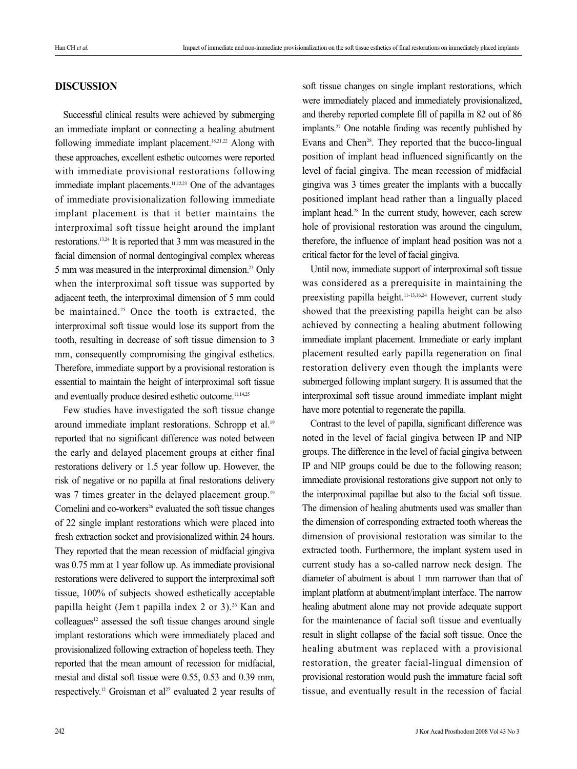## **DISCUSSION**

Successful clinical results were achieved by submerging an immediate implant or connecting a healing abutment following immediate implant placement.<sup>18,21,22</sup> Along with these approaches, excellent esthetic outcomes were reported with immediate provisional restorations following immediate implant placements.<sup>11,12,23</sup> One of the advantages of immediate provisionalization following immediate implant placement is that it better maintains the interproximal soft tissue height around the implant restorations.13,24 It is reported that 3 mm was measured in the facial dimension of normal dentogingival complex whereas 5 mm was measured in the interproximal dimension.23 Only when the interproximal soft tissue was supported by adjacent teeth, the interproximal dimension of 5 mm could be maintained.<sup>25</sup> Once the tooth is extracted, the interproximal soft tissue would lose its support from the tooth, resulting in decrease of soft tissue dimension to 3 mm, consequently compromising the gingival esthetics. Therefore, immediate support by a provisional restoration is essential to maintain the height of interproximal soft tissue and eventually produce desired esthetic outcome.<sup>11,14,25</sup>

Few studies have investigated the soft tissue change around immediate implant restorations. Schropp et al.19 reported that no significant difference was noted between the early and delayed placement groups at either final restorations delivery or 1.5 year follow up. However, the risk of negative or no papilla at final restorations delivery was 7 times greater in the delayed placement group.<sup>19</sup> Cornelini and co-workers<sup>26</sup> evaluated the soft tissue changes of 22 single implant restorations which were placed into fresh extraction socket and provisionalized within 24 hours. They reported that the mean recession of midfacial gingiva was 0.75 mm at 1 year follow up. As immediate provisional restorations were delivered to support the interproximal soft tissue, 100% of subjects showed esthetically acceptable papilla height (Jem t papilla index 2 or 3).<sup>26</sup> Kan and  $\text{colle}$ agues<sup>12</sup> assessed the soft tissue changes around single implant restorations which were immediately placed and provisionalized following extraction of hopeless teeth. They reported that the mean amount of recession for midfacial, mesial and distal soft tissue were 0.55, 0.53 and 0.39 mm, respectively.<sup>12</sup> Groisman et al<sup>27</sup> evaluated 2 year results of soft tissue changes on single implant restorations, which were immediately placed and immediately provisionalized, and thereby reported complete fill of papilla in 82 out of 86 implants.27 One notable finding was recently published by Evans and Chen<sup>28</sup>. They reported that the bucco-lingual position of implant head influenced significantly on the level of facial gingiva. The mean recession of midfacial gingiva was 3 times greater the implants with a buccally positioned implant head rather than a lingually placed implant head.<sup>28</sup> In the current study, however, each screw hole of provisional restoration was around the cingulum, therefore, the influence of implant head position was not a critical factor for the level of facial gingiva.

Until now, immediate support of interproximal soft tissue was considered as a prerequisite in maintaining the preexisting papilla height.<sup>11-13,16,24</sup> However, current study showed that the preexisting papilla height can be also achieved by connecting a healing abutment following immediate implant placement. Immediate or early implant placement resulted early papilla regeneration on final restoration delivery even though the implants were submerged following implant surgery. It is assumed that the interproximal soft tissue around immediate implant might have more potential to regenerate the papilla.

Contrast to the level of papilla, significant difference was noted in the level of facial gingiva between IP and NIP groups. The difference in the level of facial gingiva between IP and NIP groups could be due to the following reason; immediate provisional restorations give support not only to the interproximal papillae but also to the facial soft tissue. The dimension of healing abutments used was smaller than the dimension of corresponding extracted tooth whereas the dimension of provisional restoration was similar to the extracted tooth. Furthermore, the implant system used in current study has a so-called narrow neck design. The diameter of abutment is about 1 mm narrower than that of implant platform at abutment/implant interface. The narrow healing abutment alone may not provide adequate support for the maintenance of facial soft tissue and eventually result in slight collapse of the facial soft tissue. Once the healing abutment was replaced with a provisional restoration, the greater facial-lingual dimension of provisional restoration would push the immature facial soft tissue, and eventually result in the recession of facial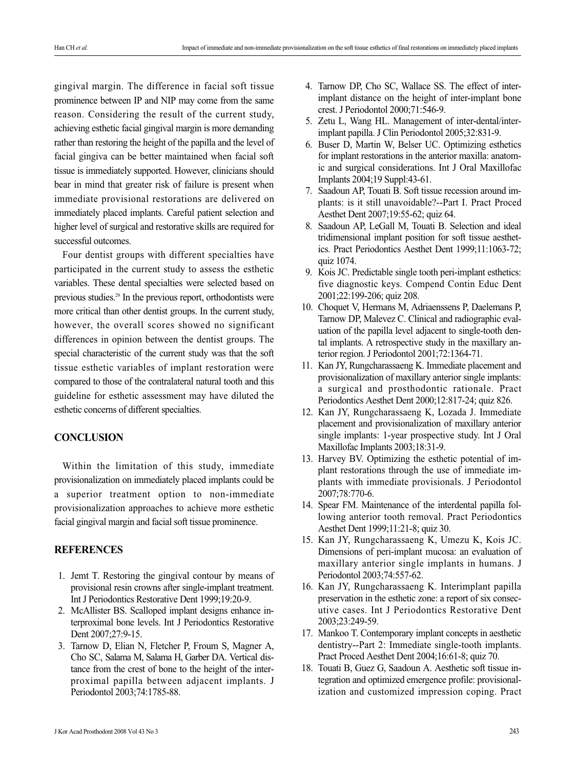gingival margin. The difference in facial soft tissue prominence between IP and NIP may come from the same reason. Considering the result of the current study, achieving esthetic facial gingival margin is more demanding rather than restoring the height of the papilla and the level of facial gingiva can be better maintained when facial soft tissue is immediately supported. However, clinicians should bear in mind that greater risk of failure is present when immediate provisional restorations are delivered on immediately placed implants. Careful patient selection and higher level of surgical and restorative skills are required for successful outcomes.

Four dentist groups with different specialties have participated in the current study to assess the esthetic variables. These dental specialties were selected based on previous studies.29 In the previous report, orthodontists were more critical than other dentist groups. In the current study, however, the overall scores showed no significant differences in opinion between the dentist groups. The special characteristic of the current study was that the soft tissue esthetic variables of implant restoration were compared to those of the contralateral natural tooth and this guideline for esthetic assessment may have diluted the esthetic concerns of different specialties.

#### **CONCLUSION**

Within the limitation of this study, immediate provisionalization on immediately placed implants could be a superior treatment option to non-immediate provisionalization approaches to achieve more esthetic facial gingival margin and facial soft tissue prominence.

#### **REFERENCES**

- 1. Jemt T. Restoring the gingival contour by means of provisional resin crowns after single-implant treatment. Int J Periodontics Restorative Dent 1999;19:20-9.
- 2. McAllister BS. Scalloped implant designs enhance interproximal bone levels. Int J Periodontics Restorative Dent 2007;27:9-15.
- 3. Tarnow D, Elian N, Fletcher P, Froum S, Magner A, Cho SC, Salama M, Salama H, Garber DA. Vertical distance from the crest of bone to the height of the interproximal papilla between adjacent implants. J Periodontol 2003;74:1785-88.
- 4. Tarnow DP, Cho SC, Wallace SS. The effect of interimplant distance on the height of inter-implant bone crest. J Periodontol 2000;71:546-9.
- 5. Zetu L, Wang HL. Management of inter-dental/interimplant papilla. J Clin Periodontol 2005;32:831-9.
- 6. Buser D, Martin W, Belser UC. Optimizing esthetics for implant restorations in the anterior maxilla: anatomic and surgical considerations. Int J Oral Maxillofac Implants 2004;19 Suppl:43-61.
- 7. Saadoun AP, Touati B. Soft tissue recession around implants: is it still unavoidable?--Part I. Pract Proced Aesthet Dent 2007;19:55-62; quiz 64.
- 8. Saadoun AP, LeGall M, Touati B. Selection and ideal tridimensional implant position for soft tissue aesthetics. Pract Periodontics Aesthet Dent 1999;11:1063-72; quiz 1074.
- 9. Kois JC. Predictable single tooth peri-implant esthetics: five diagnostic keys. Compend Contin Educ Dent 2001;22:199-206; quiz 208.
- 10. Choquet V, Hermans M, Adriaenssens P, Daelemans P, Tarnow DP, Malevez C. Clinical and radiographic evaluation of the papilla level adjacent to single-tooth dental implants. A retrospective study in the maxillary anterior region. J Periodontol 2001;72:1364-71.
- 11. Kan JY, Rungcharassaeng K. Immediate placement and provisionalization of maxillary anterior single implants: a surgical and prosthodontic rationale. Pract Periodontics Aesthet Dent 2000;12:817-24; quiz 826.
- 12. Kan JY, Rungcharassaeng K, Lozada J. Immediate placement and provisionalization of maxillary anterior single implants: 1-year prospective study. Int J Oral Maxillofac Implants 2003;18:31-9.
- 13. Harvey BV. Optimizing the esthetic potential of implant restorations through the use of immediate implants with immediate provisionals. J Periodontol 2007;78:770-6.
- 14. Spear FM. Maintenance of the interdental papilla following anterior tooth removal. Pract Periodontics Aesthet Dent 1999;11:21-8; quiz 30.
- 15. Kan JY, Rungcharassaeng K, Umezu K, Kois JC. Dimensions of peri-implant mucosa: an evaluation of maxillary anterior single implants in humans. J Periodontol 2003;74:557-62.
- 16. Kan JY, Rungcharassaeng K. Interimplant papilla preservation in the esthetic zone: a report of six consecutive cases. Int J Periodontics Restorative Dent 2003;23:249-59.
- 17. Mankoo T. Contemporary implant concepts in aesthetic dentistry--Part 2: Immediate single-tooth implants. Pract Proced Aesthet Dent 2004;16:61-8; quiz 70.
- 18. Touati B, Guez G, Saadoun A. Aesthetic soft tissue integration and optimized emergence profile: provisionalization and customized impression coping. Pract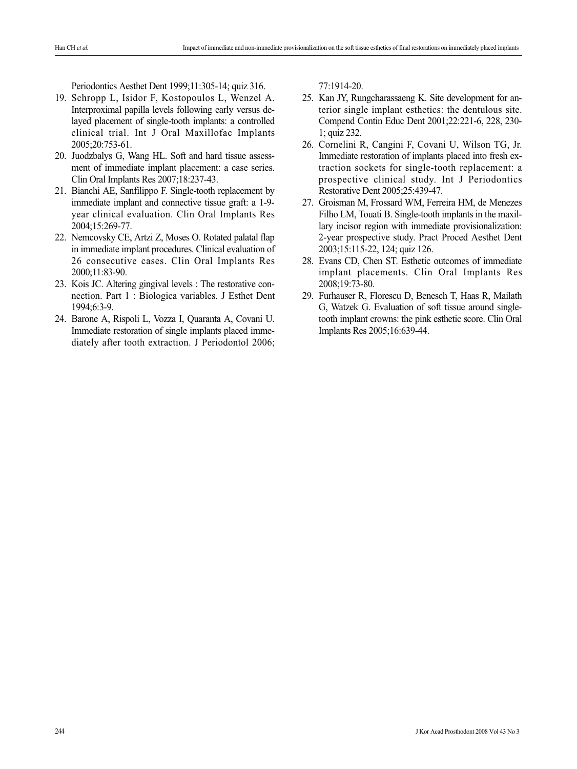Periodontics Aesthet Dent 1999;11:305-14; quiz 316.

- 19. Schropp L, Isidor F, Kostopoulos L, Wenzel A. Interproximal papilla levels following early versus delayed placement of single-tooth implants: a controlled clinical trial. Int J Oral Maxillofac Implants 2005;20:753-61.
- 20. Juodzbalys G, Wang HL. Soft and hard tissue assessment of immediate implant placement: a case series. Clin Oral Implants Res 2007;18:237-43.
- 21. Bianchi AE, Sanfilippo F. Single-tooth replacement by immediate implant and connective tissue graft: a 1-9 year clinical evaluation. Clin Oral Implants Res 2004;15:269-77.
- 22. Nemcovsky CE, Artzi Z, Moses O. Rotated palatal flap in immediate implant procedures. Clinical evaluation of 26 consecutive cases. Clin Oral Implants Res 2000;11:83-90.
- 23. Kois JC. Altering gingival levels : The restorative connection. Part 1 : Biologica variables. J Esthet Dent 1994;6:3-9.
- 24. Barone A, Rispoli L, Vozza I, Quaranta A, Covani U. Immediate restoration of single implants placed immediately after tooth extraction. J Periodontol 2006;

77:1914-20.

- 25. Kan JY, Rungcharassaeng K. Site development for anterior single implant esthetics: the dentulous site. Compend Contin Educ Dent 2001;22:221-6, 228, 230- 1; quiz 232.
- 26. Cornelini R, Cangini F, Covani U, Wilson TG, Jr. Immediate restoration of implants placed into fresh extraction sockets for single-tooth replacement: a prospective clinical study. Int J Periodontics Restorative Dent 2005;25:439-47.
- 27. Groisman M, Frossard WM, Ferreira HM, de Menezes Filho LM, Touati B. Single-tooth implants in the maxillary incisor region with immediate provisionalization: 2-year prospective study. Pract Proced Aesthet Dent 2003;15:115-22, 124; quiz 126.
- 28. Evans CD, Chen ST. Esthetic outcomes of immediate implant placements. Clin Oral Implants Res 2008;19:73-80.
- 29. Furhauser R, Florescu D, Benesch T, Haas R, Mailath G, Watzek G. Evaluation of soft tissue around singletooth implant crowns: the pink esthetic score. Clin Oral Implants Res 2005;16:639-44.